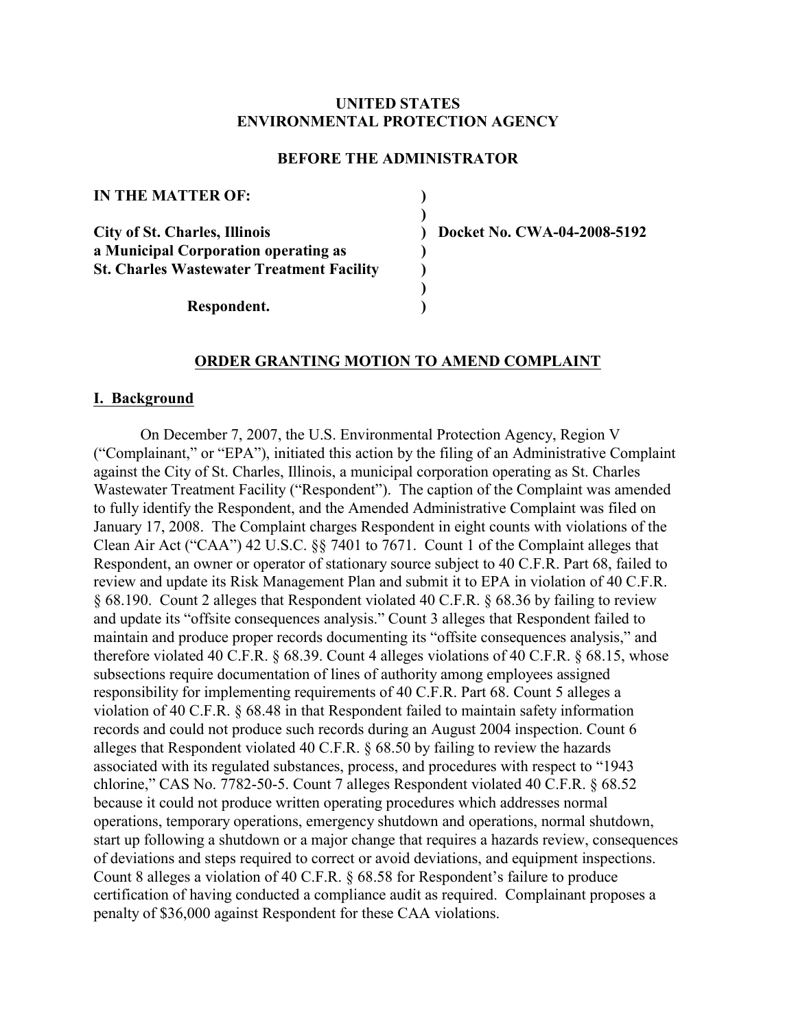# **UNITED STATES ENVIRONMENTAL PROTECTION AGENCY**

# **BEFORE THE ADMINISTRATOR**

| <b>IN THE MATTER OF:</b>                         |  |
|--------------------------------------------------|--|
| <b>City of St. Charles, Illinois</b>             |  |
| a Municipal Corporation operating as             |  |
| <b>St. Charles Wastewater Treatment Facility</b> |  |
| Respondent.                                      |  |

**City of St. Charles, Illinois ) Docket No. CWA-04-2008-5192** 

## **ORDER GRANTING MOTION TO AMEND COMPLAINT**

#### **I. Background**

On December 7, 2007, the U.S. Environmental Protection Agency, Region V ("Complainant," or "EPA"), initiated this action by the filing of an Administrative Complaint against the City of St. Charles, Illinois, a municipal corporation operating as St. Charles Wastewater Treatment Facility ("Respondent"). The caption of the Complaint was amended to fully identify the Respondent, and the Amended Administrative Complaint was filed on January 17, 2008. The Complaint charges Respondent in eight counts with violations of the Clean Air Act ("CAA") 42 U.S.C. §§ 7401 to 7671. Count 1 of the Complaint alleges that Respondent, an owner or operator of stationary source subject to 40 C.F.R. Part 68, failed to review and update its Risk Management Plan and submit it to EPA in violation of 40 C.F.R. § 68.190. Count 2 alleges that Respondent violated 40 C.F.R. § 68.36 by failing to review and update its "offsite consequences analysis." Count 3 alleges that Respondent failed to maintain and produce proper records documenting its "offsite consequences analysis," and therefore violated 40 C.F.R. § 68.39. Count 4 alleges violations of 40 C.F.R. § 68.15, whose subsections require documentation of lines of authority among employees assigned responsibility for implementing requirements of 40 C.F.R. Part 68. Count 5 alleges a violation of 40 C.F.R. § 68.48 in that Respondent failed to maintain safety information records and could not produce such records during an August 2004 inspection. Count 6 alleges that Respondent violated 40 C.F.R. § 68.50 by failing to review the hazards associated with its regulated substances, process, and procedures with respect to "1943 chlorine," CAS No. 7782-50-5. Count 7 alleges Respondent violated 40 C.F.R. § 68.52 because it could not produce written operating procedures which addresses normal operations, temporary operations, emergency shutdown and operations, normal shutdown, start up following a shutdown or a major change that requires a hazards review, consequences of deviations and steps required to correct or avoid deviations, and equipment inspections. Count 8 alleges a violation of 40 C.F.R. § 68.58 for Respondent's failure to produce certification of having conducted a compliance audit as required. Complainant proposes a penalty of \$36,000 against Respondent for these CAA violations.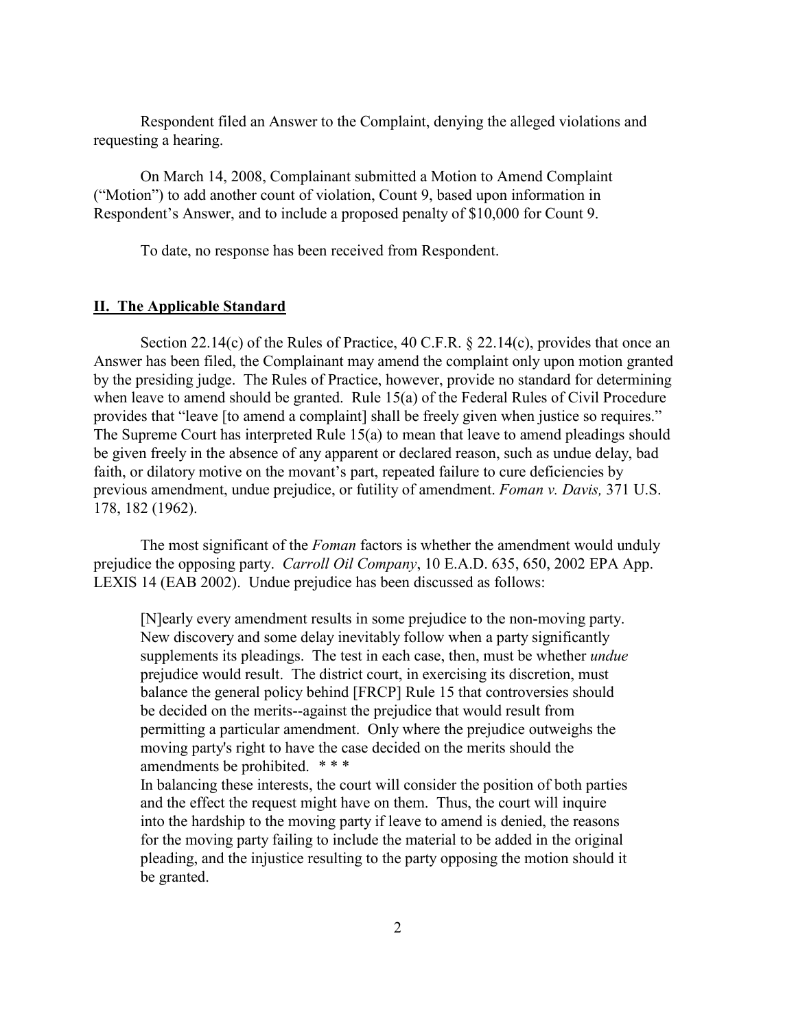Respondent filed an Answer to the Complaint, denying the alleged violations and requesting a hearing.

On March 14, 2008, Complainant submitted a Motion to Amend Complaint ("Motion") to add another count of violation, Count 9, based upon information in Respondent's Answer, and to include a proposed penalty of \$10,000 for Count 9.

To date, no response has been received from Respondent.

### **II. The Applicable Standard**

Section 22.14(c) of the Rules of Practice, 40 C.F.R. § 22.14(c), provides that once an Answer has been filed, the Complainant may amend the complaint only upon motion granted by the presiding judge. The Rules of Practice, however, provide no standard for determining when leave to amend should be granted. Rule 15(a) of the Federal Rules of Civil Procedure provides that "leave [to amend a complaint] shall be freely given when justice so requires." The Supreme Court has interpreted Rule 15(a) to mean that leave to amend pleadings should be given freely in the absence of any apparent or declared reason, such as undue delay, bad faith, or dilatory motive on the movant's part, repeated failure to cure deficiencies by previous amendment, undue prejudice, or futility of amendment. *Foman v. Davis,* 371 U.S. 178, 182 (1962).

The most significant of the *Foman* factors is whether the amendment would unduly prejudice the opposing party. *Carroll Oil Company*, 10 E.A.D. 635, 650, 2002 EPA App. LEXIS 14 (EAB 2002). Undue prejudice has been discussed as follows:

[N]early every amendment results in some prejudice to the non-moving party. New discovery and some delay inevitably follow when a party significantly supplements its pleadings. The test in each case, then, must be whether *undue*  prejudice would result. The district court, in exercising its discretion, must balance the general policy behind [FRCP] Rule 15 that controversies should be decided on the merits--against the prejudice that would result from permitting a particular amendment. Only where the prejudice outweighs the moving party's right to have the case decided on the merits should the amendments be prohibited. *\* \* \** 

In balancing these interests, the court will consider the position of both parties and the effect the request might have on them. Thus, the court will inquire into the hardship to the moving party if leave to amend is denied, the reasons for the moving party failing to include the material to be added in the original pleading, and the injustice resulting to the party opposing the motion should it be granted.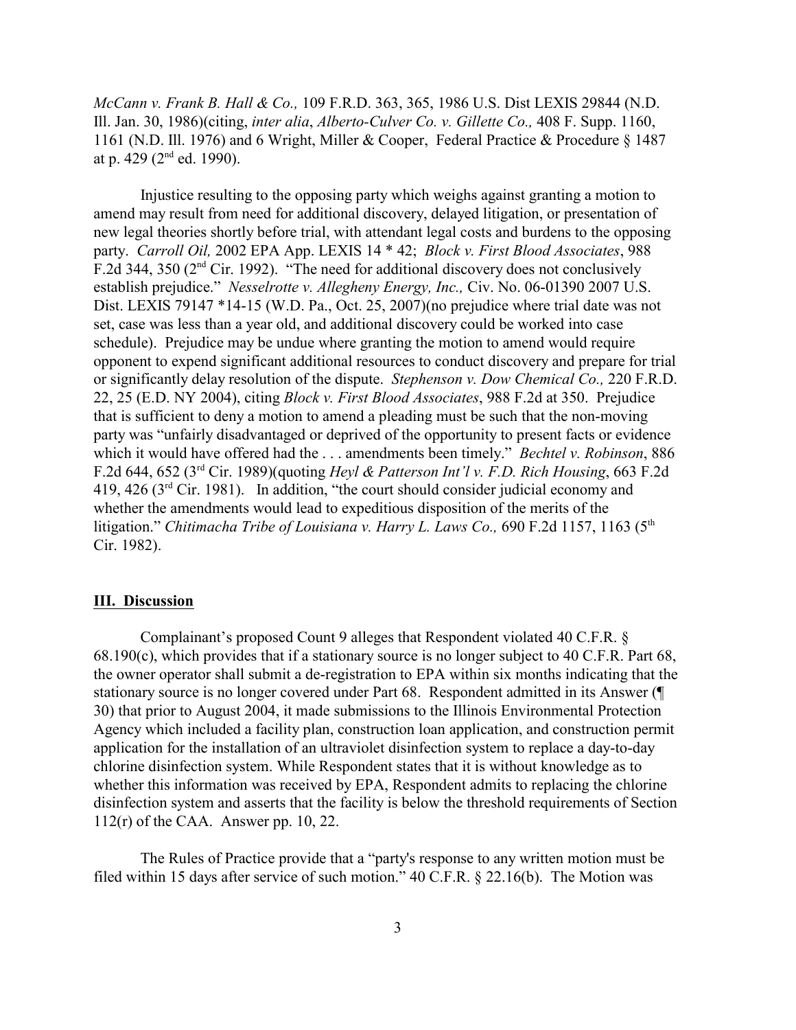*McCann v. Frank B. Hall & Co.,* 109 F.R.D. 363, 365, 1986 U.S. Dist LEXIS 29844 (N.D. Ill. Jan. 30, 1986)(citing, *inter alia*, *Alberto-Culver Co. v. Gillette Co.,* 408 F. Supp. 1160, 1161 (N.D. Ill. 1976) and 6 Wright, Miller & Cooper, Federal Practice & Procedure § 1487 at p. 429 ( $2<sup>nd</sup>$  ed. 1990).

Injustice resulting to the opposing party which weighs against granting a motion to amend may result from need for additional discovery, delayed litigation, or presentation of new legal theories shortly before trial, with attendant legal costs and burdens to the opposing party. *Carroll Oil,* 2002 EPA App. LEXIS 14 \* 42; *Block v. First Blood Associates*, 988 F.2d 344, 350 ( $2<sup>nd</sup>$  Cir. 1992). "The need for additional discovery does not conclusively establish prejudice." *Nesselrotte v. Allegheny Energy, Inc.,* Civ. No. 06-01390 2007 U.S. Dist. LEXIS 79147 \*14-15 (W.D. Pa., Oct. 25, 2007) (no prejudice where trial date was not set, case was less than a year old, and additional discovery could be worked into case schedule). Prejudice may be undue where granting the motion to amend would require opponent to expend significant additional resources to conduct discovery and prepare for trial or significantly delay resolution of the dispute. *Stephenson v. Dow Chemical Co.,* 220 F.R.D. 22, 25 (E.D. NY 2004), citing *Block v. First Blood Associates*, 988 F.2d at 350. Prejudice that is sufficient to deny a motion to amend a pleading must be such that the non-moving party was "unfairly disadvantaged or deprived of the opportunity to present facts or evidence which it would have offered had the . . . amendments been timely." *Bechtel v. Robinson*, 886 F.2d 644, 652 (3rd Cir. 1989)(quoting *Heyl & Patterson Int'l v. F.D. Rich Housing*, 663 F.2d 419, 426 ( $3<sup>rd</sup>$  Cir. 1981). In addition, "the court should consider judicial economy and whether the amendments would lead to expeditious disposition of the merits of the litigation." *Chitimacha Tribe of Louisiana v. Harry L. Laws Co.*, 690 F.2d 1157, 1163 (5<sup>th</sup> Cir. 1982).

### **III. Discussion**

Complainant's proposed Count 9 alleges that Respondent violated 40 C.F.R. § 68.190(c), which provides that if a stationary source is no longer subject to 40 C.F.R. Part 68, the owner operator shall submit a de-registration to EPA within six months indicating that the stationary source is no longer covered under Part 68. Respondent admitted in its Answer (¶ 30) that prior to August 2004, it made submissions to the Illinois Environmental Protection Agency which included a facility plan, construction loan application, and construction permit application for the installation of an ultraviolet disinfection system to replace a day-to-day chlorine disinfection system. While Respondent states that it is without knowledge as to whether this information was received by EPA, Respondent admits to replacing the chlorine disinfection system and asserts that the facility is below the threshold requirements of Section 112(r) of the CAA. Answer pp. 10, 22.

The Rules of Practice provide that a "party's response to any written motion must be filed within 15 days after service of such motion." 40 C.F.R. § 22.16(b). The Motion was